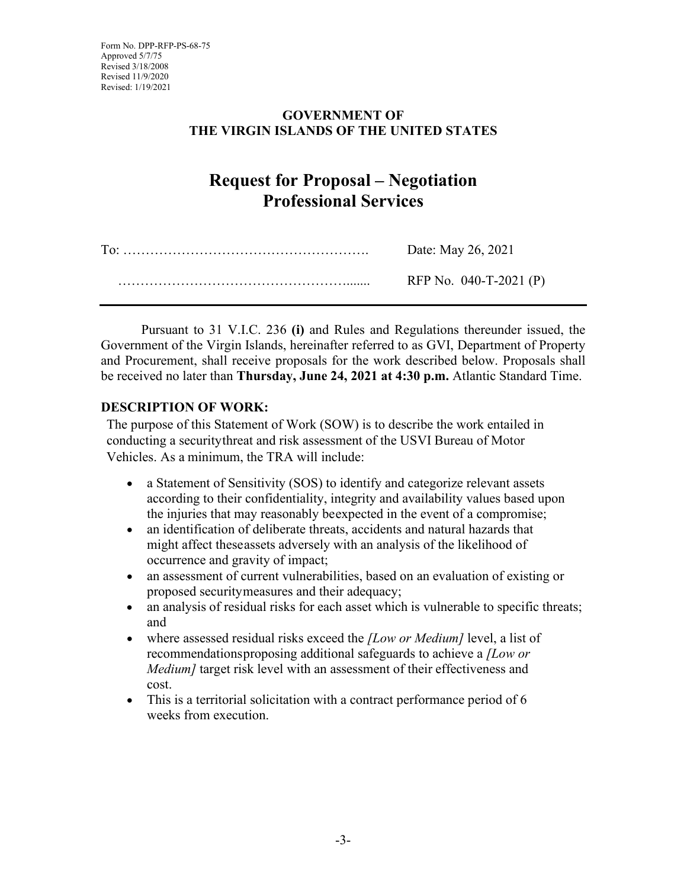## **GOVERNMENT OF THE VIRGIN ISLANDS OF THE UNITED STATES**

# **Request for Proposal – Negotiation Professional Services**

| Date: May 26, 2021       |
|--------------------------|
| RFP No. $040-T-2021$ (P) |

Pursuant to 31 V.I.C. 236 **(i)** and Rules and Regulations thereunder issued, the Government of the Virgin Islands, hereinafter referred to as GVI, Department of Property and Procurement, shall receive proposals for the work described below. Proposals shall be received no later than **Thursday, June 24, 2021 at 4:30 p.m.** Atlantic Standard Time.

## **DESCRIPTION OF WORK:**

The purpose of this Statement of Work (SOW) is to describe the work entailed in conducting a securitythreat and risk assessment of the USVI Bureau of Motor Vehicles. As a minimum, the TRA will include:

- a Statement of Sensitivity (SOS) to identify and categorize relevant assets according to their confidentiality, integrity and availability values based upon the injuries that may reasonably beexpected in the event of a compromise;
- an identification of deliberate threats, accidents and natural hazards that might affect theseassets adversely with an analysis of the likelihood of occurrence and gravity of impact;
- an assessment of current vulnerabilities, based on an evaluation of existing or proposed securitymeasures and their adequacy;
- an analysis of residual risks for each asset which is vulnerable to specific threats; and
- where assessed residual risks exceed the *[Low or Medium]* level, a list of recommendationsproposing additional safeguards to achieve a *[Low or Medium]* target risk level with an assessment of their effectiveness and cost.
- This is a territorial solicitation with a contract performance period of 6 weeks from execution.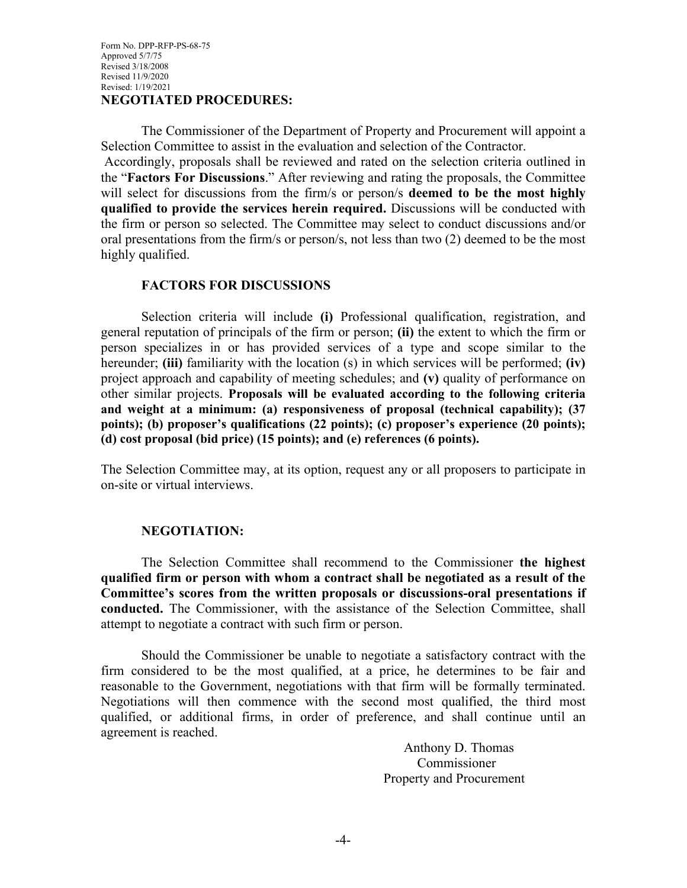The Commissioner of the Department of Property and Procurement will appoint a Selection Committee to assist in the evaluation and selection of the Contractor.

Accordingly, proposals shall be reviewed and rated on the selection criteria outlined in the "**Factors For Discussions**." After reviewing and rating the proposals, the Committee will select for discussions from the firm/s or person/s **deemed to be the most highly qualified to provide the services herein required.** Discussions will be conducted with the firm or person so selected. The Committee may select to conduct discussions and/or oral presentations from the firm/s or person/s, not less than two (2) deemed to be the most highly qualified.

#### **FACTORS FOR DISCUSSIONS**

Selection criteria will include **(i)** Professional qualification, registration, and general reputation of principals of the firm or person; **(ii)** the extent to which the firm or person specializes in or has provided services of a type and scope similar to the hereunder; **(iii)** familiarity with the location (s) in which services will be performed; **(iv)** project approach and capability of meeting schedules; and **(v)** quality of performance on other similar projects. **Proposals will be evaluated according to the following criteria and weight at a minimum: (a) responsiveness of proposal (technical capability); (37 points); (b) proposer's qualifications (22 points); (c) proposer's experience (20 points); (d) cost proposal (bid price) (15 points); and (e) references (6 points).**

The Selection Committee may, at its option, request any or all proposers to participate in on-site or virtual interviews.

#### **NEGOTIATION:**

The Selection Committee shall recommend to the Commissioner **the highest qualified firm or person with whom a contract shall be negotiated as a result of the Committee's scores from the written proposals or discussions-oral presentations if conducted.** The Commissioner, with the assistance of the Selection Committee, shall attempt to negotiate a contract with such firm or person.

Should the Commissioner be unable to negotiate a satisfactory contract with the firm considered to be the most qualified, at a price, he determines to be fair and reasonable to the Government, negotiations with that firm will be formally terminated. Negotiations will then commence with the second most qualified, the third most qualified, or additional firms, in order of preference, and shall continue until an agreement is reached.

> Anthony D. Thomas Commissioner Property and Procurement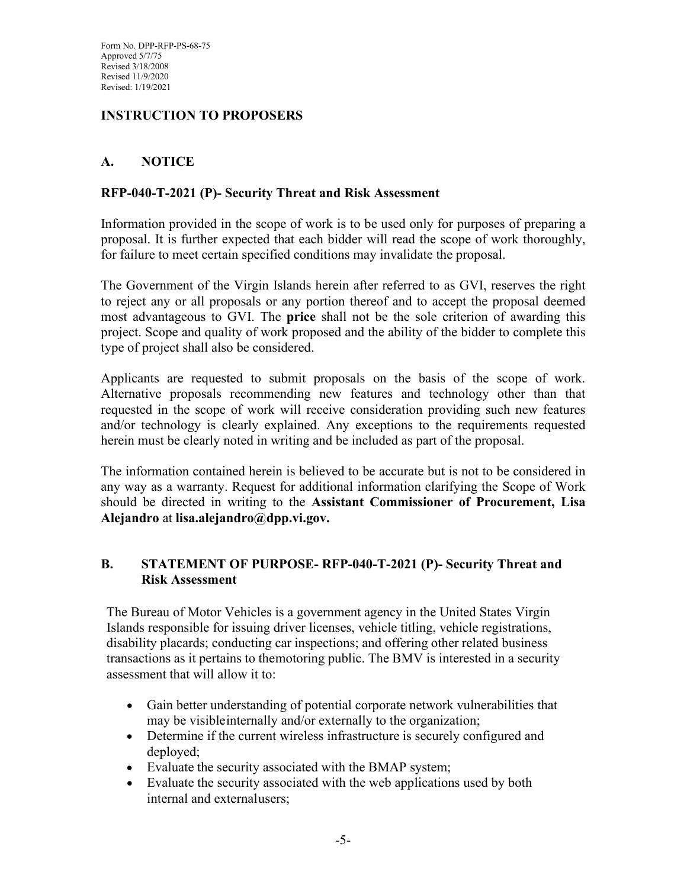Form No. DPP-RFP-PS-68-75 Approved 5/7/75 Revised 3/18/2008 Revised 11/9/2020 Revised: 1/19/2021

## **INSTRUCTION TO PROPOSERS**

## **A. NOTICE**

### **RFP-040-T-2021 (P)- Security Threat and Risk Assessment**

Information provided in the scope of work is to be used only for purposes of preparing a proposal. It is further expected that each bidder will read the scope of work thoroughly, for failure to meet certain specified conditions may invalidate the proposal.

The Government of the Virgin Islands herein after referred to as GVI, reserves the right to reject any or all proposals or any portion thereof and to accept the proposal deemed most advantageous to GVI. The **price** shall not be the sole criterion of awarding this project. Scope and quality of work proposed and the ability of the bidder to complete this type of project shall also be considered.

Applicants are requested to submit proposals on the basis of the scope of work. Alternative proposals recommending new features and technology other than that requested in the scope of work will receive consideration providing such new features and/or technology is clearly explained. Any exceptions to the requirements requested herein must be clearly noted in writing and be included as part of the proposal.

The information contained herein is believed to be accurate but is not to be considered in any way as a warranty. Request for additional information clarifying the Scope of Work should be directed in writing to the **Assistant Commissioner of Procurement, Lisa Alejandro** at **lisa.alejandro@dpp.vi.gov.**

## **B. STATEMENT OF PURPOSE- RFP-040-T-2021 (P)- Security Threat and Risk Assessment**

The Bureau of Motor Vehicles is a government agency in the United States Virgin Islands responsible for issuing driver licenses, vehicle titling, vehicle registrations, disability placards; conducting car inspections; and offering other related business transactions as it pertains to themotoring public. The BMV is interested in a security assessment that will allow it to:

- Gain better understanding of potential corporate network vulnerabilities that may be visibleinternally and/or externally to the organization;
- Determine if the current wireless infrastructure is securely configured and deployed;
- Evaluate the security associated with the BMAP system;
- Evaluate the security associated with the web applications used by both internal and externalusers;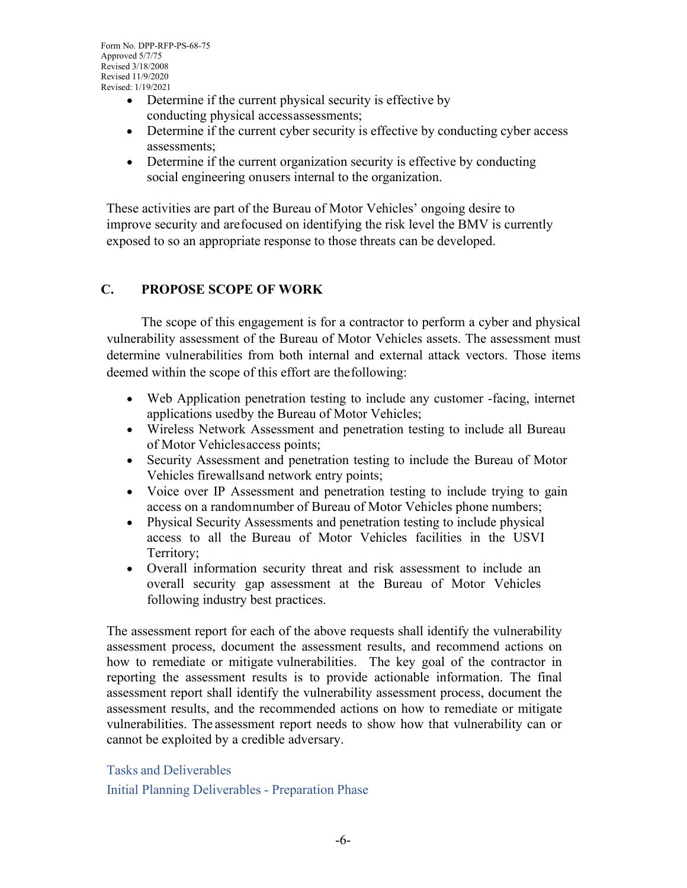- Determine if the current physical security is effective by conducting physical accessassessments;
- Determine if the current cyber security is effective by conducting cyber access assessments;
- Determine if the current organization security is effective by conducting social engineering onusers internal to the organization.

These activities are part of the Bureau of Motor Vehicles' ongoing desire to improve security and arefocused on identifying the risk level the BMV is currently exposed to so an appropriate response to those threats can be developed.

## **C. PROPOSE SCOPE OF WORK**

The scope of this engagement is for a contractor to perform a cyber and physical vulnerability assessment of the Bureau of Motor Vehicles assets. The assessment must determine vulnerabilities from both internal and external attack vectors. Those items deemed within the scope of this effort are thefollowing:

- Web Application penetration testing to include any customer -facing, internet applications usedby the Bureau of Motor Vehicles;
- Wireless Network Assessment and penetration testing to include all Bureau of Motor Vehiclesaccess points;
- Security Assessment and penetration testing to include the Bureau of Motor Vehicles firewallsand network entry points;
- Voice over IP Assessment and penetration testing to include trying to gain access on a randomnumber of Bureau of Motor Vehicles phone numbers;
- Physical Security Assessments and penetration testing to include physical access to all the Bureau of Motor Vehicles facilities in the USVI Territory;
- Overall information security threat and risk assessment to include an overall security gap assessment at the Bureau of Motor Vehicles following industry best practices.

The assessment report for each of the above requests shall identify the vulnerability assessment process, document the assessment results, and recommend actions on how to remediate or mitigate vulnerabilities. The key goal of the contractor in reporting the assessment results is to provide actionable information. The final assessment report shall identify the vulnerability assessment process, document the assessment results, and the recommended actions on how to remediate or mitigate vulnerabilities. The assessment report needs to show how that vulnerability can or cannot be exploited by a credible adversary.

Tasks and Deliverables Initial Planning Deliverables - Preparation Phase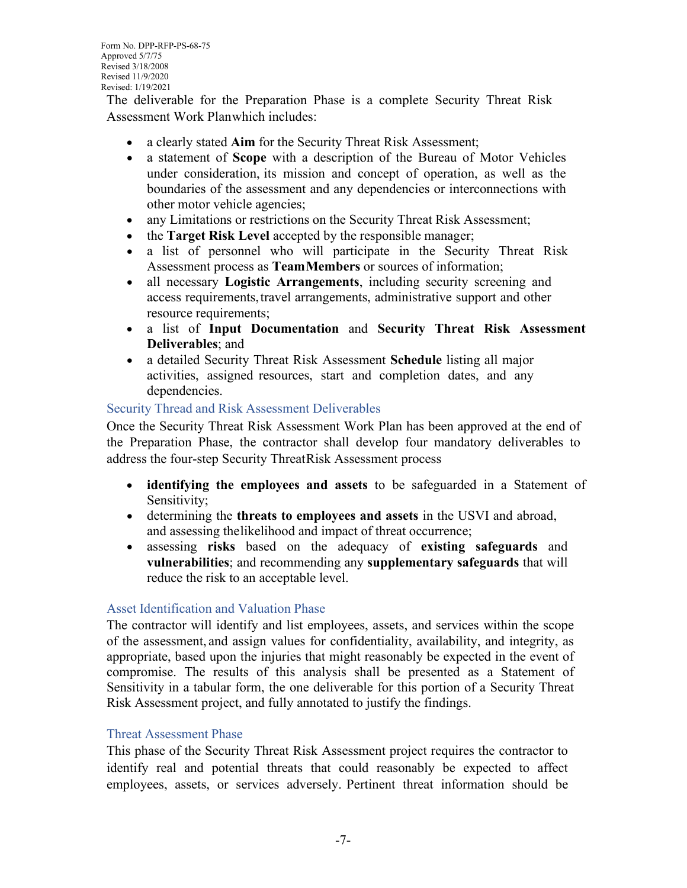The deliverable for the Preparation Phase is a complete Security Threat Risk Assessment Work Planwhich includes:

- a clearly stated **Aim** for the Security Threat Risk Assessment;
- a statement of **Scope** with a description of the Bureau of Motor Vehicles under consideration, its mission and concept of operation, as well as the boundaries of the assessment and any dependencies or interconnections with other motor vehicle agencies;
- any Limitations or restrictions on the Security Threat Risk Assessment;
- the **Target Risk Level** accepted by the responsible manager;
- a list of personnel who will participate in the Security Threat Risk Assessment process as **TeamMembers** or sources of information;
- all necessary **Logistic Arrangements**, including security screening and access requirements,travel arrangements, administrative support and other resource requirements;
- a list of **Input Documentation** and **Security Threat Risk Assessment Deliverables**; and
- a detailed Security Threat Risk Assessment **Schedule** listing all major activities, assigned resources, start and completion dates, and any dependencies.

#### Security Thread and Risk Assessment Deliverables

Once the Security Threat Risk Assessment Work Plan has been approved at the end of the Preparation Phase, the contractor shall develop four mandatory deliverables to address the four-step Security ThreatRisk Assessment process

- **identifying the employees and assets** to be safeguarded in a Statement of Sensitivity;
- determining the **threats to employees and assets** in the USVI and abroad, and assessing thelikelihood and impact of threat occurrence;
- assessing **risks** based on the adequacy of **existing safeguards** and **vulnerabilities**; and recommending any **supplementary safeguards** that will reduce the risk to an acceptable level.

#### Asset Identification and Valuation Phase

The contractor will identify and list employees, assets, and services within the scope of the assessment, and assign values for confidentiality, availability, and integrity, as appropriate, based upon the injuries that might reasonably be expected in the event of compromise. The results of this analysis shall be presented as a Statement of Sensitivity in a tabular form, the one deliverable for this portion of a Security Threat Risk Assessment project, and fully annotated to justify the findings.

#### Threat Assessment Phase

This phase of the Security Threat Risk Assessment project requires the contractor to identify real and potential threats that could reasonably be expected to affect employees, assets, or services adversely. Pertinent threat information should be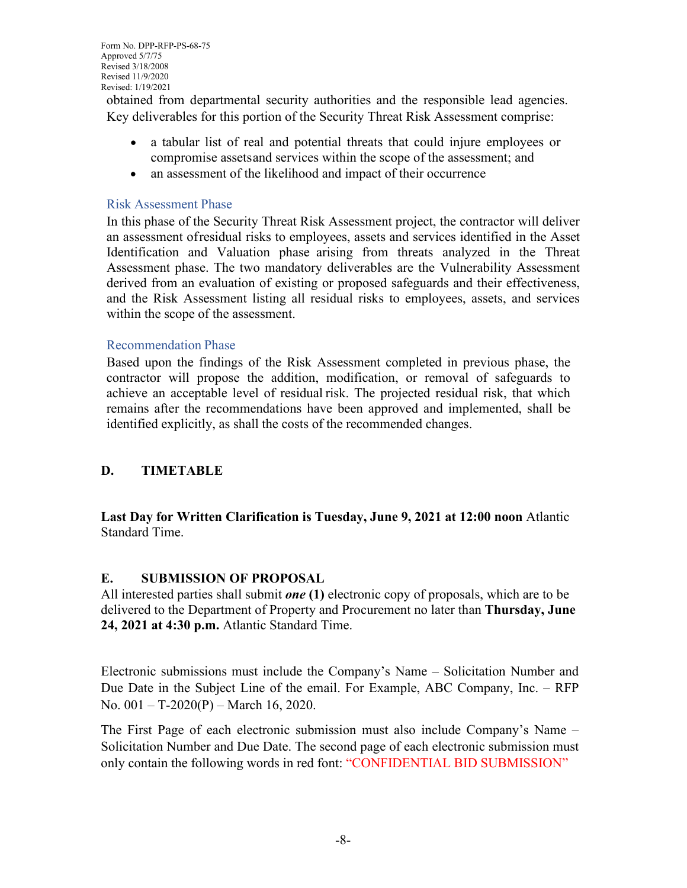obtained from departmental security authorities and the responsible lead agencies. Key deliverables for this portion of the Security Threat Risk Assessment comprise:

- a tabular list of real and potential threats that could injure employees or compromise assetsand services within the scope of the assessment; and
- an assessment of the likelihood and impact of their occurrence

#### Risk Assessment Phase

In this phase of the Security Threat Risk Assessment project, the contractor will deliver an assessment ofresidual risks to employees, assets and services identified in the Asset Identification and Valuation phase arising from threats analyzed in the Threat Assessment phase. The two mandatory deliverables are the Vulnerability Assessment derived from an evaluation of existing or proposed safeguards and their effectiveness, and the Risk Assessment listing all residual risks to employees, assets, and services within the scope of the assessment.

#### Recommendation Phase

Based upon the findings of the Risk Assessment completed in previous phase, the contractor will propose the addition, modification, or removal of safeguards to achieve an acceptable level of residual risk. The projected residual risk, that which remains after the recommendations have been approved and implemented, shall be identified explicitly, as shall the costs of the recommended changes.

## **D. TIMETABLE**

**Last Day for Written Clarification is Tuesday, June 9, 2021 at 12:00 noon** Atlantic Standard Time.

#### **E. SUBMISSION OF PROPOSAL**

All interested parties shall submit *one* **(1)** electronic copy of proposals, which are to be delivered to the Department of Property and Procurement no later than **Thursday, June 24, 2021 at 4:30 p.m.** Atlantic Standard Time.

Electronic submissions must include the Company's Name – Solicitation Number and Due Date in the Subject Line of the email. For Example, ABC Company, Inc. – RFP No. 001 – T-2020(P) – March 16, 2020.

The First Page of each electronic submission must also include Company's Name – Solicitation Number and Due Date. The second page of each electronic submission must only contain the following words in red font: "CONFIDENTIAL BID SUBMISSION"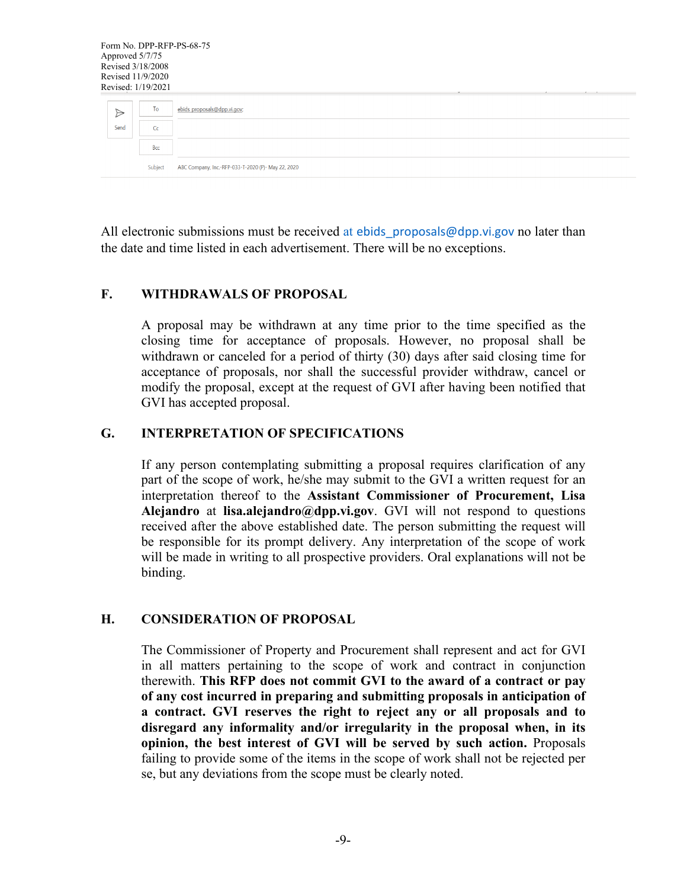| Form No. DPP-RFP-PS-68-75<br>Approved 5/7/75<br>Revised 3/18/2008<br>Revised 11/9/2020<br>Revised: 1/19/2021 |                |                                                    |  |
|--------------------------------------------------------------------------------------------------------------|----------------|----------------------------------------------------|--|
| $\triangleright$                                                                                             | To             | ebids proposals@dpp.vi.gov;                        |  |
| Send                                                                                                         | C <sub>C</sub> |                                                    |  |
|                                                                                                              | Bcc            |                                                    |  |
|                                                                                                              | Subject        | ABC Company, Inc.-RFP-033-T-2020 (P)- May 22, 2020 |  |

All electronic submissions must be received at ebids proposals@dpp.vi.gov no later than the date and time listed in each advertisement. There will be no exceptions.

#### **F. WITHDRAWALS OF PROPOSAL**

A proposal may be withdrawn at any time prior to the time specified as the closing time for acceptance of proposals. However, no proposal shall be withdrawn or canceled for a period of thirty (30) days after said closing time for acceptance of proposals, nor shall the successful provider withdraw, cancel or modify the proposal, except at the request of GVI after having been notified that GVI has accepted proposal.

### **G. INTERPRETATION OF SPECIFICATIONS**

If any person contemplating submitting a proposal requires clarification of any part of the scope of work, he/she may submit to the GVI a written request for an interpretation thereof to the **Assistant Commissioner of Procurement, Lisa Alejandro** at **lisa.alejandro@dpp.vi.gov**. GVI will not respond to questions received after the above established date. The person submitting the request will be responsible for its prompt delivery. Any interpretation of the scope of work will be made in writing to all prospective providers. Oral explanations will not be binding.

#### **H. CONSIDERATION OF PROPOSAL**

The Commissioner of Property and Procurement shall represent and act for GVI in all matters pertaining to the scope of work and contract in conjunction therewith. **This RFP does not commit GVI to the award of a contract or pay of any cost incurred in preparing and submitting proposals in anticipation of a contract. GVI reserves the right to reject any or all proposals and to disregard any informality and/or irregularity in the proposal when, in its opinion, the best interest of GVI will be served by such action.** Proposals failing to provide some of the items in the scope of work shall not be rejected per se, but any deviations from the scope must be clearly noted.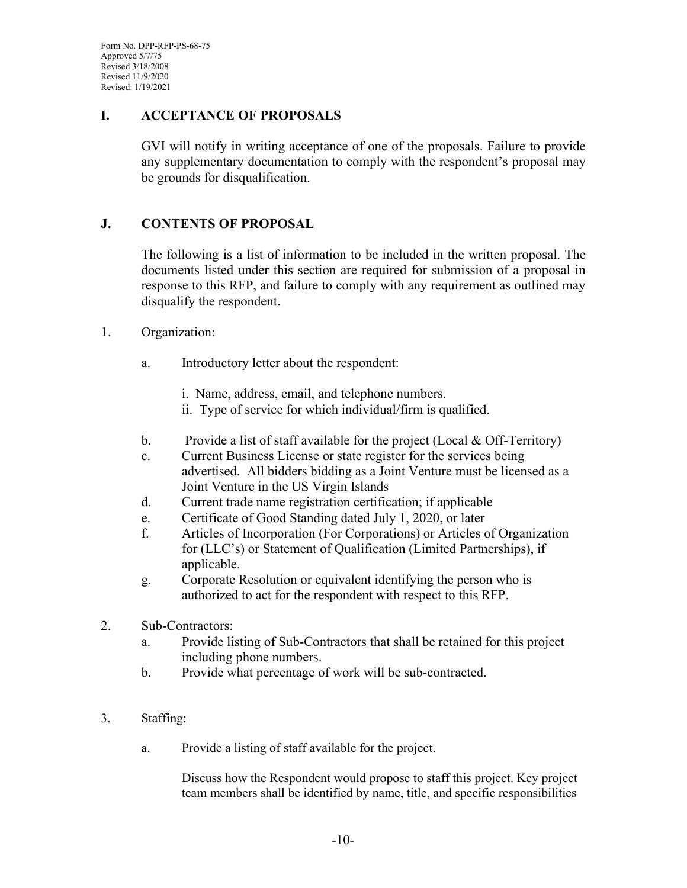Form No. DPP-RFP-PS-68-75 Approved 5/7/75 Revised 3/18/2008 Revised 11/9/2020 Revised: 1/19/2021

#### **I. ACCEPTANCE OF PROPOSALS**

GVI will notify in writing acceptance of one of the proposals. Failure to provide any supplementary documentation to comply with the respondent's proposal may be grounds for disqualification.

### **J. CONTENTS OF PROPOSAL**

The following is a list of information to be included in the written proposal. The documents listed under this section are required for submission of a proposal in response to this RFP, and failure to comply with any requirement as outlined may disqualify the respondent.

#### 1. Organization:

- a. Introductory letter about the respondent:
	- i. Name, address, email, and telephone numbers.
	- ii. Type of service for which individual/firm is qualified.
- b. Provide a list of staff available for the project (Local & Off-Territory)
- c. Current Business License or state register for the services being advertised. All bidders bidding as a Joint Venture must be licensed as a Joint Venture in the US Virgin Islands
- d. Current trade name registration certification; if applicable
- e. Certificate of Good Standing dated July 1, 2020, or later
- f. Articles of Incorporation (For Corporations) or Articles of Organization for (LLC's) or Statement of Qualification (Limited Partnerships), if applicable.
- g. Corporate Resolution or equivalent identifying the person who is authorized to act for the respondent with respect to this RFP.
- 2. Sub-Contractors:
	- a. Provide listing of Sub-Contractors that shall be retained for this project including phone numbers.
	- b. Provide what percentage of work will be sub-contracted.
- 3. Staffing:
	- a. Provide a listing of staff available for the project.

Discuss how the Respondent would propose to staff this project. Key project team members shall be identified by name, title, and specific responsibilities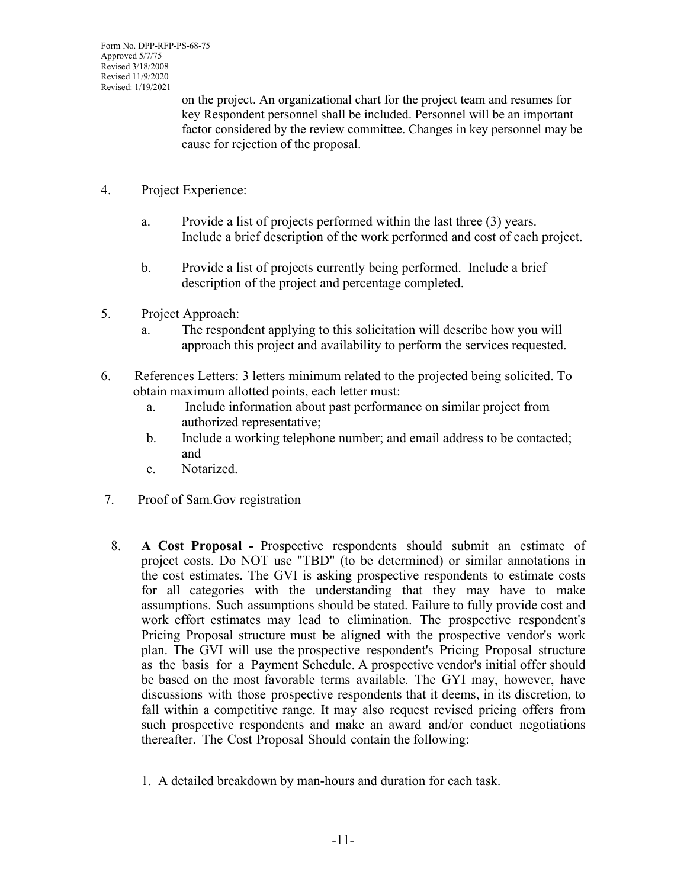on the project. An organizational chart for the project team and resumes for key Respondent personnel shall be included. Personnel will be an important factor considered by the review committee. Changes in key personnel may be cause for rejection of the proposal.

- 4. Project Experience:
	- a. Provide a list of projects performed within the last three (3) years. Include a brief description of the work performed and cost of each project.
	- b. Provide a list of projects currently being performed. Include a brief description of the project and percentage completed.
- 5. Project Approach:
	- a. The respondent applying to this solicitation will describe how you will approach this project and availability to perform the services requested.
- 6. References Letters: 3 letters minimum related to the projected being solicited. To obtain maximum allotted points, each letter must:
	- a. Include information about past performance on similar project from authorized representative;
	- b. Include a working telephone number; and email address to be contacted; and
	- c. Notarized.
- 7. Proof of Sam.Gov registration
- 8. **A Cost Proposal -** Prospective respondents should submit an estimate of project costs. Do NOT use "TBD" (to be determined) or similar annotations in the cost estimates. The GVI is asking prospective respondents to estimate costs for all categories with the understanding that they may have to make assumptions. Such assumptions should be stated. Failure to fully provide cost and work effort estimates may lead to elimination. The prospective respondent's Pricing Proposal structure must be aligned with the prospective vendor's work plan. The GVI will use the prospective respondent's Pricing Proposal structure as the basis for a Payment Schedule. A prospective vendor's initial offer should be based on the most favorable terms available. The GYI may, however, have discussions with those prospective respondents that it deems, in its discretion, to fall within a competitive range. It may also request revised pricing offers from such prospective respondents and make an award and/or conduct negotiations thereafter. The Cost Proposal Should contain the following:
	- 1. A detailed breakdown by man-hours and duration for each task.